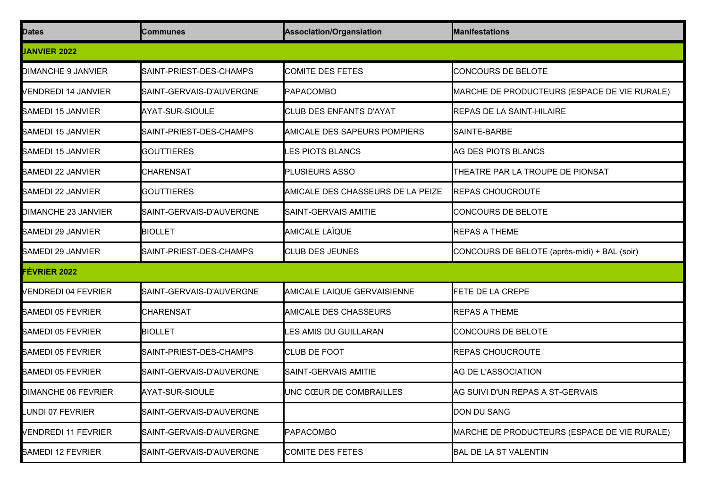| <b>Dates</b>               | <b>Communes</b>          | Association/Organsiation          | <b>Manifestations</b>                        |
|----------------------------|--------------------------|-----------------------------------|----------------------------------------------|
| <b>JANVIER 2022</b>        |                          |                                   |                                              |
| <b>DIMANCHE 9 JANVIER</b>  | SAINT-PRIEST-DES-CHAMPS  | <b>COMITE DES FETES</b>           | CONCOURS DE BELOTE                           |
| VENDREDI 14 JANVIER        | SAINT-GERVAIS-D'AUVERGNE | <b>PAPACOMBO</b>                  | MARCHE DE PRODUCTEURS (ESPACE DE VIE RURALE) |
| <b>SAMEDI 15 JANVIER</b>   | AYAT-SUR-SIOULE          | <b>CLUB DES ENFANTS D'AYAT</b>    | <b>REPAS DE LA SAINT-HILAIRE</b>             |
| <b>SAMEDI 15 JANVIER</b>   | SAINT-PRIEST-DES-CHAMPS  | AMICALE DES SAPEURS POMPIERS      | SAINTE-BARBE                                 |
| <b>SAMEDI 15 JANVIER</b>   | <b>GOUTTIERES</b>        | <b>LES PIOTS BLANCS</b>           | AG DES PIOTS BLANCS                          |
| SAMEDI 22 JANVIER          | <b>CHARENSAT</b>         | PLUSIEURS ASSO                    | THEATRE PAR LA TROUPE DE PIONSAT             |
| SAMEDI 22 JANVIER          | <b>GOUTTIERES</b>        | AMICALE DES CHASSEURS DE LA PEIZE | <b>REPAS CHOUCROUTE</b>                      |
| <b>DIMANCHE 23 JANVIER</b> | SAINT-GERVAIS-D'AUVERGNE | SAINT-GERVAIS AMITIE              | CONCOURS DE BELOTE                           |
| SAMEDI 29 JANVIER          | <b>BIOLLET</b>           | <b>AMICALE LAÏQUE</b>             | <b>REPAS A THEME</b>                         |
| SAMEDI 29 JANVIER          | SAINT-PRIEST-DES-CHAMPS  | <b>CLUB DES JEUNES</b>            | CONCOURS DE BELOTE (après-midi) + BAL (soir) |
| <b>FÉVRIER 2022</b>        |                          |                                   |                                              |
| VENDREDI 04 FEVRIER        | SAINT-GERVAIS-D'AUVERGNE | AMICALE LAIQUE GERVAISIENNE       | FETE DE LA CREPE                             |
| <b>SAMEDI 05 FEVRIER</b>   | <b>CHARENSAT</b>         | AMICALE DES CHASSEURS             | <b>REPAS A THEME</b>                         |
| <b>SAMEDI 05 FEVRIER</b>   | <b>BIOLLET</b>           | LES AMIS DU GUILLARAN             | CONCOURS DE BELOTE                           |
| <b>SAMEDI 05 FEVRIER</b>   | SAINT-PRIEST-DES-CHAMPS  | <b>CLUB DE FOOT</b>               | <b>REPAS CHOUCROUTE</b>                      |
| <b>SAMEDI 05 FEVRIER</b>   | SAINT-GERVAIS-D'AUVERGNE | SAINT-GERVAIS AMITIE              | AG DE L'ASSOCIATION                          |
| DIMANCHE 06 FEVRIER        | AYAT-SUR-SIOULE          | UNC CŒUR DE COMBRAILLES           | AG SUIVI D'UN REPAS A ST-GERVAIS             |
| LUNDI 07 FEVRIER           | SAINT-GERVAIS-D'AUVERGNE |                                   | DON DU SANG                                  |
| VENDREDI 11 FEVRIER        | SAINT-GERVAIS-D'AUVERGNE | <b>PAPACOMBO</b>                  | MARCHE DE PRODUCTEURS (ESPACE DE VIE RURALE) |
| <b>SAMEDI 12 FEVRIER</b>   | SAINT-GERVAIS-D'AUVERGNE | COMITE DES FETES                  | <b>BAL DE LA ST VALENTIN</b>                 |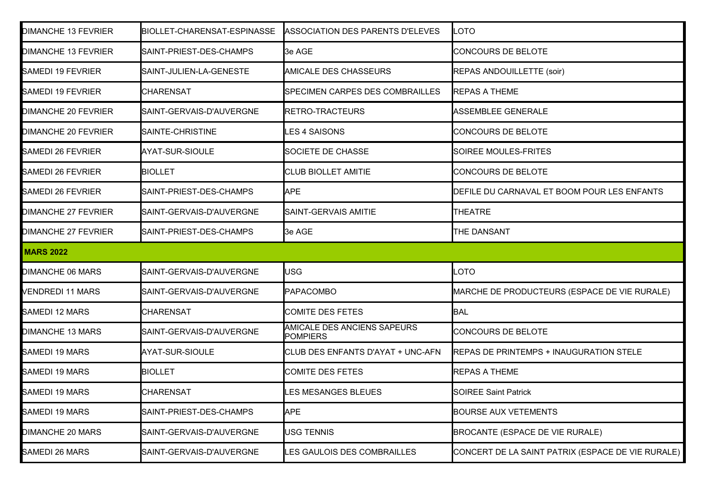| <b>DIMANCHE 13 FEVRIER</b> | <b>BIOLLET-CHARENSAT-ESPINASSE</b> | ASSOCIATION DES PARENTS D'ELEVES               | LOTO                                              |
|----------------------------|------------------------------------|------------------------------------------------|---------------------------------------------------|
| <b>DIMANCHE 13 FEVRIER</b> | SAINT-PRIEST-DES-CHAMPS            | 3e AGE                                         | <b>CONCOURS DE BELOTE</b>                         |
| <b>SAMEDI 19 FEVRIER</b>   | SAINT-JULIEN-LA-GENESTE            | <b>AMICALE DES CHASSEURS</b>                   | REPAS ANDOUILLETTE (soir)                         |
| <b>SAMEDI 19 FEVRIER</b>   | <b>CHARENSAT</b>                   | <b>SPECIMEN CARPES DES COMBRAILLES</b>         | <b>REPAS A THEME</b>                              |
| <b>DIMANCHE 20 FEVRIER</b> | SAINT-GERVAIS-D'AUVERGNE           | RETRO-TRACTEURS                                | ASSEMBLEE GENERALE                                |
| <b>DIMANCHE 20 FEVRIER</b> | SAINTE-CHRISTINE                   | <b>ES 4 SAISONS</b>                            | <b>CONCOURS DE BELOTE</b>                         |
| <b>SAMEDI 26 FEVRIER</b>   | AYAT-SUR-SIOULE                    | <b>SOCIETE DE CHASSE</b>                       | SOIREE MOULES-FRITES                              |
| <b>SAMEDI 26 FEVRIER</b>   | <b>BIOLLET</b>                     | <b>CLUB BIOLLET AMITIE</b>                     | <b>CONCOURS DE BELOTE</b>                         |
| <b>SAMEDI 26 FEVRIER</b>   | SAINT-PRIEST-DES-CHAMPS            | <b>APE</b>                                     | DEFILE DU CARNAVAL ET BOOM POUR LES ENFANTS       |
| <b>DIMANCHE 27 FEVRIER</b> | SAINT-GERVAIS-D'AUVERGNE           | SAINT-GERVAIS AMITIE                           | <b>THEATRE</b>                                    |
| <b>DIMANCHE 27 FEVRIER</b> | SAINT-PRIEST-DES-CHAMPS            | 3e AGE                                         | THE DANSANT                                       |
| <b>MARS 2022</b>           |                                    |                                                |                                                   |
| <b>DIMANCHE 06 MARS</b>    | SAINT-GERVAIS-D'AUVERGNE           | USG                                            | LOTO                                              |
| <b>VENDREDI 11 MARS</b>    | SAINT-GERVAIS-D'AUVERGNE           | <b>PAPACOMBO</b>                               | MARCHE DE PRODUCTEURS (ESPACE DE VIE RURALE)      |
| <b>SAMEDI 12 MARS</b>      | <b>CHARENSAT</b>                   | <b>COMITE DES FETES</b>                        | <b>BAL</b>                                        |
| <b>DIMANCHE 13 MARS</b>    | SAINT-GERVAIS-D'AUVERGNE           | AMICALE DES ANCIENS SAPEURS<br><b>POMPIERS</b> | <b>CONCOURS DE BELOTE</b>                         |
| <b>SAMEDI 19 MARS</b>      | AYAT-SUR-SIOULE                    | CLUB DES ENFANTS D'AYAT + UNC-AFN              | <b>REPAS DE PRINTEMPS + INAUGURATION STELE</b>    |
| <b>SAMEDI 19 MARS</b>      | <b>BIOLLET</b>                     | <b>COMITE DES FETES</b>                        | <b>REPAS A THEME</b>                              |
| SAMEDI 19 MARS             | <b>CHARENSAT</b>                   | LES MESANGES BLEUES                            | <b>SOIREE Saint Patrick</b>                       |
| <b>SAMEDI 19 MARS</b>      | SAINT-PRIEST-DES-CHAMPS            | <b>APE</b>                                     | <b>BOURSE AUX VETEMENTS</b>                       |
| <b>DIMANCHE 20 MARS</b>    | SAINT-GERVAIS-D'AUVERGNE           | <b>JSG TENNIS</b>                              | BROCANTE (ESPACE DE VIE RURALE)                   |
| SAMEDI 26 MARS             |                                    |                                                | CONCERT DE LA SAINT PATRIX (ESPACE DE VIE RURALE) |
|                            | SAINT-GERVAIS-D'AUVERGNE           | <b>ES GAULOIS DES COMBRAILLES</b>              |                                                   |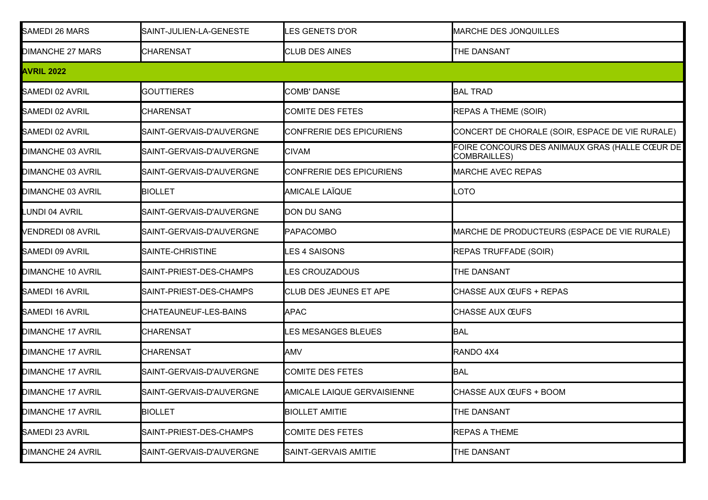| <b>SAMEDI 26 MARS</b>    | SAINT-JULIEN-LA-GENESTE  | <b>LES GENETS D'OR</b>      | <b>MARCHE DES JONQUILLES</b>                                          |
|--------------------------|--------------------------|-----------------------------|-----------------------------------------------------------------------|
| <b>DIMANCHE 27 MARS</b>  | <b>CHARENSAT</b>         | <b>CLUB DES AINES</b>       | THE DANSANT                                                           |
| <b>AVRIL 2022</b>        |                          |                             |                                                                       |
| SAMEDI 02 AVRIL          | <b>GOUTTIERES</b>        | <b>COMB' DANSE</b>          | <b>BAL TRAD</b>                                                       |
| <b>SAMEDI 02 AVRIL</b>   | <b>CHARENSAT</b>         | <b>COMITE DES FETES</b>     | <b>REPAS A THEME (SOIR)</b>                                           |
| SAMEDI 02 AVRIL          | SAINT-GERVAIS-D'AUVERGNE | CONFRERIE DES EPICURIENS    | CONCERT DE CHORALE (SOIR, ESPACE DE VIE RURALE)                       |
| <b>DIMANCHE 03 AVRIL</b> | SAINT-GERVAIS-D'AUVERGNE | <b>CIVAM</b>                | FOIRE CONCOURS DES ANIMAUX GRAS (HALLE CŒUR DE<br><b>COMBRAILLES)</b> |
| <b>DIMANCHE 03 AVRIL</b> | SAINT-GERVAIS-D'AUVERGNE | CONFRERIE DES EPICURIENS    | <b>MARCHE AVEC REPAS</b>                                              |
| <b>DIMANCHE 03 AVRIL</b> | <b>BIOLLET</b>           | <b>AMICALE LAÏQUE</b>       | OTO <sub>-</sub>                                                      |
| <b>LUNDI 04 AVRIL</b>    | SAINT-GERVAIS-D'AUVERGNE | DON DU SANG                 |                                                                       |
| VENDREDI 08 AVRIL        | SAINT-GERVAIS-D'AUVERGNE | PAPACOMBO                   | MARCHE DE PRODUCTEURS (ESPACE DE VIE RURALE)                          |
| SAMEDI 09 AVRIL          | SAINTE-CHRISTINE         | <b>ES 4 SAISONS</b>         | <b>REPAS TRUFFADE (SOIR)</b>                                          |
| <b>DIMANCHE 10 AVRIL</b> | SAINT-PRIEST-DES-CHAMPS  | <b>ES CROUZADOUS</b>        | THE DANSANT                                                           |
| <b>SAMEDI 16 AVRIL</b>   | SAINT-PRIEST-DES-CHAMPS  | CLUB DES JEUNES ET APE      | <b>CHASSE AUX ŒUFS + REPAS</b>                                        |
| <b>SAMEDI 16 AVRIL</b>   | CHATEAUNEUF-LES-BAINS    | <b>APAC</b>                 | <b>CHASSE AUX ŒUFS</b>                                                |
| <b>DIMANCHE 17 AVRIL</b> | <b>CHARENSAT</b>         | <b>ES MESANGES BLEUES</b>   | <b>BAL</b>                                                            |
| <b>DIMANCHE 17 AVRIL</b> | <b>CHARENSAT</b>         | AMV                         | RANDO 4X4                                                             |
| <b>DIMANCHE 17 AVRIL</b> | SAINT-GERVAIS-D'AUVERGNE | <b>COMITE DES FETES</b>     | <b>BAL</b>                                                            |
| <b>DIMANCHE 17 AVRIL</b> | SAINT-GERVAIS-D'AUVERGNE | AMICALE LAIQUE GERVAISIENNE | CHASSE AUX ŒUFS + BOOM                                                |
| <b>DIMANCHE 17 AVRIL</b> | <b>BIOLLET</b>           | <b>BIOLLET AMITIE</b>       | THE DANSANT                                                           |
| SAMEDI 23 AVRIL          | SAINT-PRIEST-DES-CHAMPS  | COMITE DES FETES            | <b>REPAS A THEME</b>                                                  |
| <b>DIMANCHE 24 AVRIL</b> | SAINT-GERVAIS-D'AUVERGNE | SAINT-GERVAIS AMITIE        | THE DANSANT                                                           |
|                          |                          |                             |                                                                       |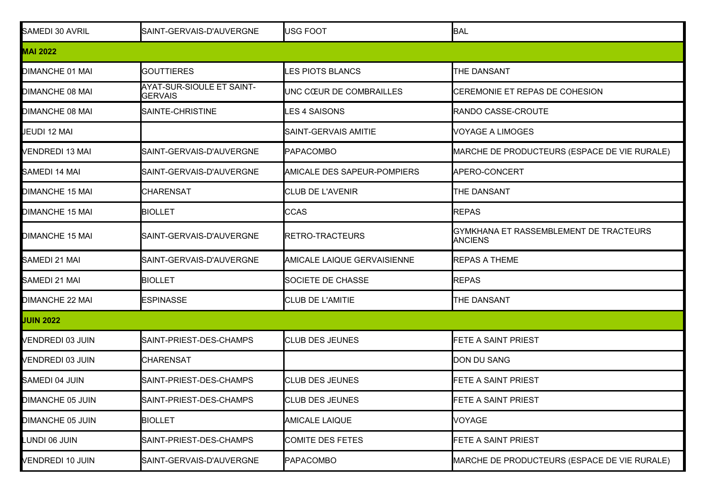| SAMEDI 30 AVRIL         | SAINT-GERVAIS-D'AUVERGNE                    | USG FOOT                           | BAL                                               |
|-------------------------|---------------------------------------------|------------------------------------|---------------------------------------------------|
| <b>MAI 2022</b>         |                                             |                                    |                                                   |
| <b>DIMANCHE 01 MAI</b>  | <b>GOUTTIERES</b>                           | <b>ES PIOTS BLANCS</b>             | THE DANSANT                                       |
| <b>DIMANCHE 08 MAI</b>  | AYAT-SUR-SIOULE ET SAINT-<br><b>GERVAIS</b> | UNC CŒUR DE COMBRAILLES            | CEREMONIE ET REPAS DE COHESION                    |
| <b>DIMANCHE 08 MAI</b>  | SAINTE-CHRISTINE                            | <b>ES 4 SAISONS</b>                | RANDO CASSE-CROUTE                                |
| JEUDI 12 MAI            |                                             | SAINT-GERVAIS AMITIE               | <b>VOYAGE A LIMOGES</b>                           |
| <b>VENDREDI 13 MAI</b>  | SAINT-GERVAIS-D'AUVERGNE                    | <b>PAPACOMBO</b>                   | MARCHE DE PRODUCTEURS (ESPACE DE VIE RURALE)      |
| SAMEDI 14 MAI           | SAINT-GERVAIS-D'AUVERGNE                    | <b>AMICALE DES SAPEUR-POMPIERS</b> | APERO-CONCERT                                     |
| <b>DIMANCHE 15 MAI</b>  | <b>CHARENSAT</b>                            | <b>CLUB DE L'AVENIR</b>            | THE DANSANT                                       |
| <b>DIMANCHE 15 MAI</b>  | <b>BIOLLET</b>                              | <b>CCAS</b>                        | <b>REPAS</b>                                      |
| <b>DIMANCHE 15 MAI</b>  | SAINT-GERVAIS-D'AUVERGNE                    | RETRO-TRACTEURS                    | GYMKHANA ET RASSEMBLEMENT DE TRACTEURS<br>ANCIENS |
| SAMEDI 21 MAI           | SAINT-GERVAIS-D'AUVERGNE                    | AMICALE LAIQUE GERVAISIENNE        | <b>REPAS A THEME</b>                              |
| SAMEDI 21 MAI           | <b>BIOLLET</b>                              | <b>SOCIETE DE CHASSE</b>           | <b>REPAS</b>                                      |
| DIMANCHE 22 MAI         | <b>ESPINASSE</b>                            | <b>CLUB DE L'AMITIE</b>            | THE DANSANT                                       |
| <b>JUIN 2022</b>        |                                             |                                    |                                                   |
| <b>VENDREDI 03 JUIN</b> | SAINT-PRIEST-DES-CHAMPS                     | <b>CLUB DES JEUNES</b>             | FETE A SAINT PRIEST                               |
| <b>VENDREDI 03 JUIN</b> | <b>CHARENSAT</b>                            |                                    | DON DU SANG                                       |
| SAMEDI 04 JUIN          | SAINT-PRIEST-DES-CHAMPS                     | <b>CLUB DES JEUNES</b>             | FETE A SAINT PRIEST                               |
| DIMANCHE 05 JUIN        | SAINT-PRIEST-DES-CHAMPS                     | CLUB DES JEUNES                    | FETE A SAINT PRIEST                               |
| DIMANCHE 05 JUIN        | <b>BIOLLET</b>                              | <b>AMICALE LAIQUE</b>              | <b>VOYAGE</b>                                     |
| LUNDI 06 JUIN           | SAINT-PRIEST-DES-CHAMPS                     | <b>COMITE DES FETES</b>            | FETE A SAINT PRIEST                               |
| <b>VENDREDI 10 JUIN</b> | SAINT-GERVAIS-D'AUVERGNE                    | <b>PAPACOMBO</b>                   | MARCHE DE PRODUCTEURS (ESPACE DE VIE RURALE)      |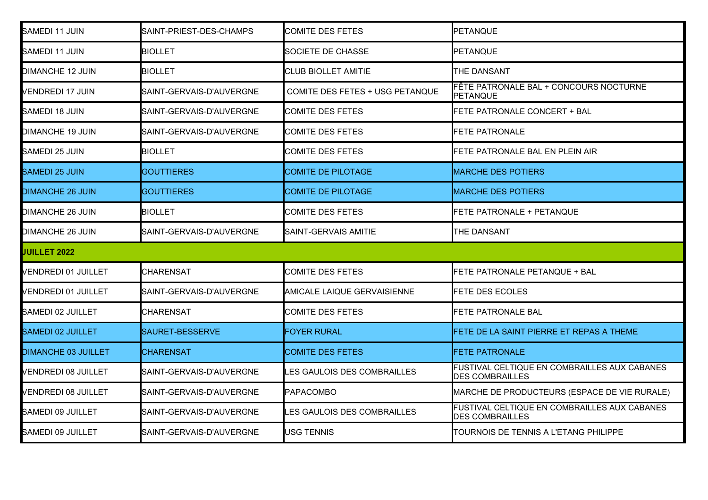| SAMEDI 11 JUIN             | SAINT-PRIEST-DES-CHAMPS  | <b>COMITE DES FETES</b>           | PETANQUE                                                               |
|----------------------------|--------------------------|-----------------------------------|------------------------------------------------------------------------|
| SAMEDI 11 JUIN             | <b>BIOLLET</b>           | SOCIETE DE CHASSE                 | <b>PETANQUE</b>                                                        |
| DIMANCHE 12 JUIN           | <b>BIOLLET</b>           | <b>CLUB BIOLLET AMITIE</b>        | THE DANSANT                                                            |
| <b>VENDREDI 17 JUIN</b>    | SAINT-GERVAIS-D'AUVERGNE | COMITE DES FETES + USG PETANQUE   | FÊTE PATRONALE BAL + CONCOURS NOCTURNE<br>PETANQUE                     |
| SAMEDI 18 JUIN             | SAINT-GERVAIS-D'AUVERGNE | COMITE DES FETES                  | FETE PATRONALE CONCERT + BAL                                           |
| <b>DIMANCHE 19 JUIN</b>    | SAINT-GERVAIS-D'AUVERGNE | <b>COMITE DES FETES</b>           | <b>FETE PATRONALE</b>                                                  |
| SAMEDI 25 JUIN             | <b>BIOLLET</b>           | COMITE DES FETES                  | FETE PATRONALE BAL EN PLEIN AIR                                        |
| <b>SAMEDI 25 JUIN</b>      | GOUTTIERES               | <b>COMITE DE PILOTAGE</b>         | <b>MARCHE DES POTIERS</b>                                              |
| <b>DIMANCHE 26 JUIN</b>    | GOUTTIERES               | COMITE DE PILOTAGE                | <b>MARCHE DES POTIERS</b>                                              |
| <b>DIMANCHE 26 JUIN</b>    | <b>BIOLLET</b>           | <b>COMITE DES FETES</b>           | FETE PATRONALE + PETANQUE                                              |
| DIMANCHE 26 JUIN           | SAINT-GERVAIS-D'AUVERGNE | SAINT-GERVAIS AMITIE              | THE DANSANT                                                            |
| <b>JUILLET 2022</b>        |                          |                                   |                                                                        |
| <b>VENDREDI 01 JUILLET</b> | <b>CHARENSAT</b>         | <b>COMITE DES FETES</b>           | FETE PATRONALE PETANQUE + BAL                                          |
| <b>VENDREDI 01 JUILLET</b> | SAINT-GERVAIS-D'AUVERGNE | AMICALE LAIQUE GERVAISIENNE       | FETE DES ECOLES                                                        |
| SAMEDI 02 JUILLET          | <b>CHARENSAT</b>         | <b>COMITE DES FETES</b>           | <b>FETE PATRONALE BAL</b>                                              |
| <b>SAMEDI 02 JUILLET</b>   | SAURET-BESSERVE          | <b>FOYER RURAL</b>                | FETE DE LA SAINT PIERRE ET REPAS A THEME                               |
| <b>DIMANCHE 03 JUILLET</b> | <b>CHARENSAT</b>         | <b>COMITE DES FETES</b>           | <b>FETE PATRONALE</b>                                                  |
| <b>VENDREDI 08 JUILLET</b> | SAINT-GERVAIS-D'AUVERGNE | <b>ES GAULOIS DES COMBRAILLES</b> | FUSTIVAL CELTIQUE EN COMBRAILLES AUX CABANES<br><b>DES COMBRAILLES</b> |
| <b>VENDREDI 08 JUILLET</b> | SAINT-GERVAIS-D'AUVERGNE | <b>PAPACOMBO</b>                  | MARCHE DE PRODUCTEURS (ESPACE DE VIE RURALE)                           |
| SAMEDI 09 JUILLET          | SAINT-GERVAIS-D'AUVERGNE | <b>ES GAULOIS DES COMBRAILLES</b> | FUSTIVAL CELTIQUE EN COMBRAILLES AUX CABANES<br><b>DES COMBRAILLES</b> |
| SAMEDI 09 JUILLET          | SAINT-GERVAIS-D'AUVERGNE | USG TENNIS                        | TOURNOIS DE TENNIS A L'ETANG PHILIPPE                                  |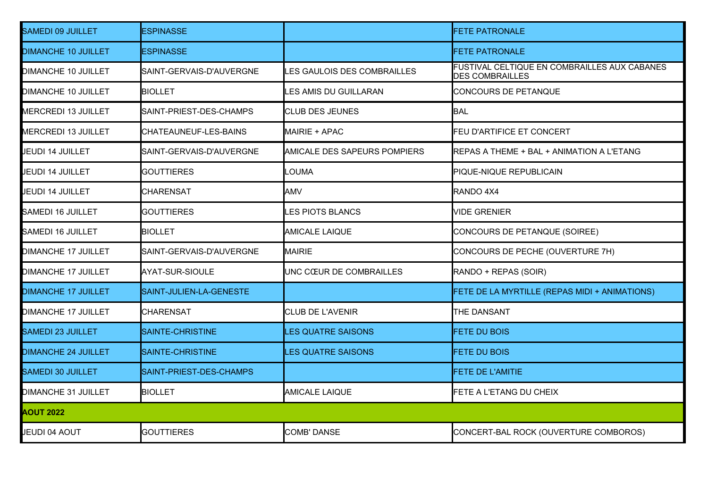| <b>SAMEDI 09 JUILLET</b>   | ESPINASSE                |                              | <b>FETE PATRONALE</b>                                                  |
|----------------------------|--------------------------|------------------------------|------------------------------------------------------------------------|
| <b>DIMANCHE 10 JUILLET</b> | <b>ESPINASSE</b>         |                              | <b>FETE PATRONALE</b>                                                  |
| DIMANCHE 10 JUILLET        | SAINT-GERVAIS-D'AUVERGNE | LES GAULOIS DES COMBRAILLES  | FUSTIVAL CELTIQUE EN COMBRAILLES AUX CABANES<br><b>DES COMBRAILLES</b> |
| DIMANCHE 10 JUILLET        | <b>BIOLLET</b>           | LES AMIS DU GUILLARAN        | CONCOURS DE PETANQUE                                                   |
| <b>MERCREDI 13 JUILLET</b> | SAINT-PRIEST-DES-CHAMPS  | <b>CLUB DES JEUNES</b>       | BAL                                                                    |
| <b>MERCREDI 13 JUILLET</b> | CHATEAUNEUF-LES-BAINS    | MAIRIE + APAC                | <b>FEU D'ARTIFICE ET CONCERT</b>                                       |
| JEUDI 14 JUILLET           | SAINT-GERVAIS-D'AUVERGNE | AMICALE DES SAPEURS POMPIERS | REPAS A THEME + BAL + ANIMATION A L'ETANG                              |
| JEUDI 14 JUILLET           | <b>GOUTTIERES</b>        | LOUMA                        | PIQUE-NIQUE REPUBLICAIN                                                |
| <b>JEUDI 14 JUILLET</b>    | CHARENSAT                | <b>AMV</b>                   | RANDO 4X4                                                              |
| <b>SAMEDI 16 JUILLET</b>   | <b>GOUTTIERES</b>        | <b>LES PIOTS BLANCS</b>      | <b>VIDE GRENIER</b>                                                    |
| SAMEDI 16 JUILLET          | <b>BIOLLET</b>           | <b>AMICALE LAIQUE</b>        | CONCOURS DE PETANQUE (SOIREE)                                          |
| <b>DIMANCHE 17 JUILLET</b> | SAINT-GERVAIS-D'AUVERGNE | <b>MAIRIE</b>                | CONCOURS DE PECHE (OUVERTURE 7H)                                       |
| <b>DIMANCHE 17 JUILLET</b> | AYAT-SUR-SIOULE          | UNC CŒUR DE COMBRAILLES      | RANDO + REPAS (SOIR)                                                   |
| <b>DIMANCHE 17 JUILLET</b> | SAINT-JULIEN-LA-GENESTE  |                              | FETE DE LA MYRTILLE (REPAS MIDI + ANIMATIONS)                          |
| DIMANCHE 17 JUILLET        | <b>CHARENSAT</b>         | <b>CLUB DE L'AVENIR</b>      | THE DANSANT                                                            |
| <b>SAMEDI 23 JUILLET</b>   | SAINTE-CHRISTINE         | <b>LES QUATRE SAISONS</b>    | FETE DU BOIS                                                           |
| <b>DIMANCHE 24 JUILLET</b> | SAINTE-CHRISTINE         | <b>LES QUATRE SAISONS</b>    | FETE DU BOIS                                                           |
| <b>SAMEDI 30 JUILLET</b>   | SAINT-PRIEST-DES-CHAMPS  |                              | <b>FETE DE L'AMITIE</b>                                                |
| DIMANCHE 31 JUILLET        | <b>BIOLLET</b>           | <b>AMICALE LAIQUE</b>        | <b>FETE A L'ETANG DU CHEIX</b>                                         |
| <b>AOUT 2022</b>           |                          |                              |                                                                        |
| <b>JEUDI 04 AOUT</b>       | <b>GOUTTIERES</b>        | <b>COMB' DANSE</b>           | CONCERT-BAL ROCK (OUVERTURE COMBOROS)                                  |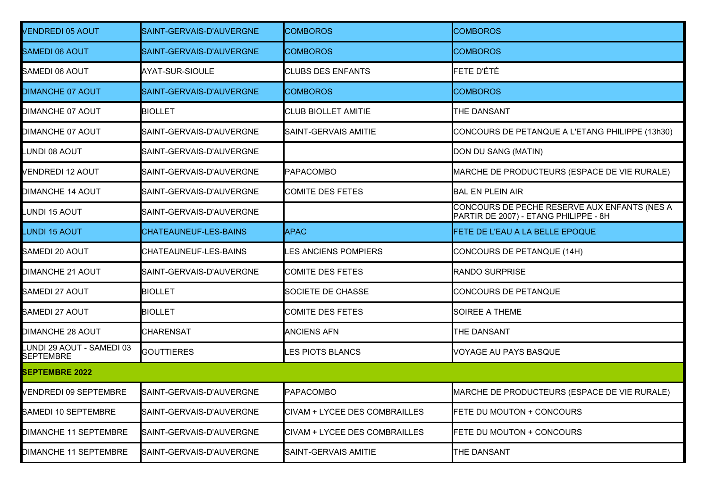| <b>VENDREDI 05 AOUT</b>                | SAINT-GERVAIS-D'AUVERGNE | <b>COMBOROS</b>                      | <b>COMBOROS</b>                                                                       |
|----------------------------------------|--------------------------|--------------------------------------|---------------------------------------------------------------------------------------|
| <b>SAMEDI 06 AOUT</b>                  | SAINT-GERVAIS-D'AUVERGNE | <b>COMBOROS</b>                      | <b>COMBOROS</b>                                                                       |
| SAMEDI 06 AOUT                         | AYAT-SUR-SIOULE          | <b>CLUBS DES ENFANTS</b>             | FETE D'ÉTÉ                                                                            |
| <b>DIMANCHE 07 AOUT</b>                | SAINT-GERVAIS-D'AUVERGNE | <b>COMBOROS</b>                      | <b>COMBOROS</b>                                                                       |
| <b>DIMANCHE 07 AOUT</b>                | <b>BIOLLET</b>           | <b>CLUB BIOLLET AMITIE</b>           | THE DANSANT                                                                           |
| <b>DIMANCHE 07 AOUT</b>                | SAINT-GERVAIS-D'AUVERGNE | SAINT-GERVAIS AMITIE                 | CONCOURS DE PETANQUE A L'ETANG PHILIPPE (13h30)                                       |
| LUNDI 08 AOUT                          | SAINT-GERVAIS-D'AUVERGNE |                                      | DON DU SANG (MATIN)                                                                   |
| <b>VENDREDI 12 AOUT</b>                | SAINT-GERVAIS-D'AUVERGNE | <b>PAPACOMBO</b>                     | MARCHE DE PRODUCTEURS (ESPACE DE VIE RURALE)                                          |
| DIMANCHE 14 AOUT                       | SAINT-GERVAIS-D'AUVERGNE | <b>COMITE DES FETES</b>              | <b>BAL EN PLEIN AIR</b>                                                               |
| LUNDI 15 AOUT                          | SAINT-GERVAIS-D'AUVERGNE |                                      | CONCOURS DE PECHE RESERVE AUX ENFANTS (NES A<br>PARTIR DE 2007) - ETANG PHILIPPE - 8H |
| <b>LUNDI 15 AOUT</b>                   | CHATEAUNEUF-LES-BAINS    | <b>APAC</b>                          | FETE DE L'EAU A LA BELLE EPOQUE                                                       |
| SAMEDI 20 AOUT                         | CHATEAUNEUF-LES-BAINS    | <b>ES ANCIENS POMPIERS</b>           | CONCOURS DE PETANQUE (14H)                                                            |
| <b>DIMANCHE 21 AOUT</b>                | SAINT-GERVAIS-D'AUVERGNE | <b>COMITE DES FETES</b>              | <b>RANDO SURPRISE</b>                                                                 |
| SAMEDI 27 AOUT                         | <b>BIOLLET</b>           | <b>SOCIETE DE CHASSE</b>             | CONCOURS DE PETANQUE                                                                  |
| SAMEDI 27 AOUT                         | <b>BIOLLET</b>           | <b>COMITE DES FETES</b>              | <b>SOIREE A THEME</b>                                                                 |
| <b>DIMANCHE 28 AOUT</b>                | <b>CHARENSAT</b>         | <b>ANCIENS AFN</b>                   | THE DANSANT                                                                           |
| LUNDI 29 AOUT - SAMEDI 03<br>SEPTEMBRE | <b>GOUTTIERES</b>        | <b>ES PIOTS BLANCS</b>               | VOYAGE AU PAYS BASQUE                                                                 |
| <b>SEPTEMBRE 2022</b>                  |                          |                                      |                                                                                       |
| <b>VENDREDI 09 SEPTEMBRE</b>           | SAINT-GERVAIS-D'AUVERGNE | <b>PAPACOMBO</b>                     | MARCHE DE PRODUCTEURS (ESPACE DE VIE RURALE)                                          |
| SAMEDI 10 SEPTEMBRE                    | SAINT-GERVAIS-D'AUVERGNE | <b>CIVAM + LYCEE DES COMBRAILLES</b> | FETE DU MOUTON + CONCOURS                                                             |
| <b>DIMANCHE 11 SEPTEMBRE</b>           | SAINT-GERVAIS-D'AUVERGNE | CIVAM + LYCEE DES COMBRAILLES        | FETE DU MOUTON + CONCOURS                                                             |
| <b>DIMANCHE 11 SEPTEMBRE</b>           | SAINT-GERVAIS-D'AUVERGNE | SAINT-GERVAIS AMITIE                 | THE DANSANT                                                                           |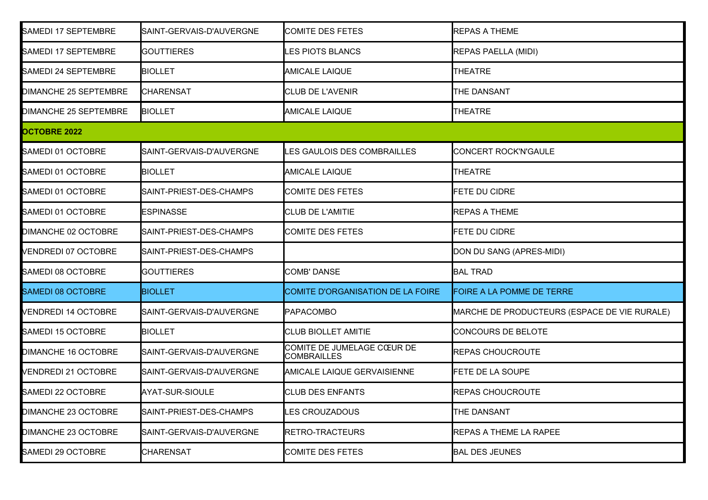| SAMEDI 17 SEPTEMBRE          | SAINT-GERVAIS-D'AUVERGNE | COMITE DES FETES                                 | <b>REPAS A THEME</b>                         |
|------------------------------|--------------------------|--------------------------------------------------|----------------------------------------------|
| SAMEDI 17 SEPTEMBRE          | <b>GOUTTIERES</b>        | LES PIOTS BLANCS                                 | <b>REPAS PAELLA (MIDI)</b>                   |
| SAMEDI 24 SEPTEMBRE          | <b>BIOLLET</b>           | <b>AMICALE LAIQUE</b>                            | <b>THEATRE</b>                               |
| <b>DIMANCHE 25 SEPTEMBRE</b> | <b>CHARENSAT</b>         | <b>CLUB DE L'AVENIR</b>                          | THE DANSANT                                  |
| DIMANCHE 25 SEPTEMBRE        | <b>BIOLLET</b>           | <b>AMICALE LAIQUE</b>                            | <b>THEATRE</b>                               |
| <b>OCTOBRE 2022</b>          |                          |                                                  |                                              |
| SAMEDI 01 OCTOBRE            | SAINT-GERVAIS-D'AUVERGNE | LES GAULOIS DES COMBRAILLES                      | CONCERT ROCK'N'GAULE                         |
| SAMEDI 01 OCTOBRE            | <b>BIOLLET</b>           | <b>AMICALE LAIQUE</b>                            | <b>THEATRE</b>                               |
| SAMEDI 01 OCTOBRE            | SAINT-PRIEST-DES-CHAMPS  | <b>COMITE DES FETES</b>                          | FETE DU CIDRE                                |
| SAMEDI 01 OCTOBRE            | <b>ESPINASSE</b>         | <b>CLUB DE L'AMITIE</b>                          | <b>REPAS A THEME</b>                         |
| DIMANCHE 02 OCTOBRE          | SAINT-PRIEST-DES-CHAMPS  | <b>COMITE DES FETES</b>                          | FETE DU CIDRE                                |
| <b>VENDREDI 07 OCTOBRE</b>   | SAINT-PRIEST-DES-CHAMPS  |                                                  | DON DU SANG (APRES-MIDI)                     |
| SAMEDI 08 OCTOBRE            | <b>GOUTTIERES</b>        | <b>COMB' DANSE</b>                               | <b>BAL TRAD</b>                              |
| <b>SAMEDI 08 OCTOBRE</b>     | <b>BIOLLET</b>           | COMITE D'ORGANISATION DE LA FOIRE                | FOIRE A LA POMME DE TERRE                    |
| <b>VENDREDI 14 OCTOBRE</b>   | SAINT-GERVAIS-D'AUVERGNE | <b>PAPACOMBO</b>                                 | MARCHE DE PRODUCTEURS (ESPACE DE VIE RURALE) |
| SAMEDI 15 OCTOBRE            | <b>BIOLLET</b>           | <b>CLUB BIOLLET AMITIE</b>                       | CONCOURS DE BELOTE                           |
| DIMANCHE 16 OCTOBRE          | SAINT-GERVAIS-D'AUVERGNE | COMITE DE JUMELAGE CŒUR DE<br><b>COMBRAILLES</b> | <b>REPAS CHOUCROUTE</b>                      |
| <b>VENDREDI 21 OCTOBRE</b>   | SAINT-GERVAIS-D'AUVERGNE | AMICALE LAIQUE GERVAISIENNE                      | <b>FETE DE LA SOUPE</b>                      |
| SAMEDI 22 OCTOBRE            | AYAT-SUR-SIOULE          | <b>CLUB DES ENFANTS</b>                          | <b>REPAS CHOUCROUTE</b>                      |
| <b>DIMANCHE 23 OCTOBRE</b>   | SAINT-PRIEST-DES-CHAMPS  | <b>LES CROUZADOUS</b>                            | THE DANSANT                                  |
| <b>DIMANCHE 23 OCTOBRE</b>   | SAINT-GERVAIS-D'AUVERGNE | RETRO-TRACTEURS                                  | REPAS A THEME LA RAPEE                       |
| SAMEDI 29 OCTOBRE            | <b>CHARENSAT</b>         | <b>COMITE DES FETES</b>                          | <b>BAL DES JEUNES</b>                        |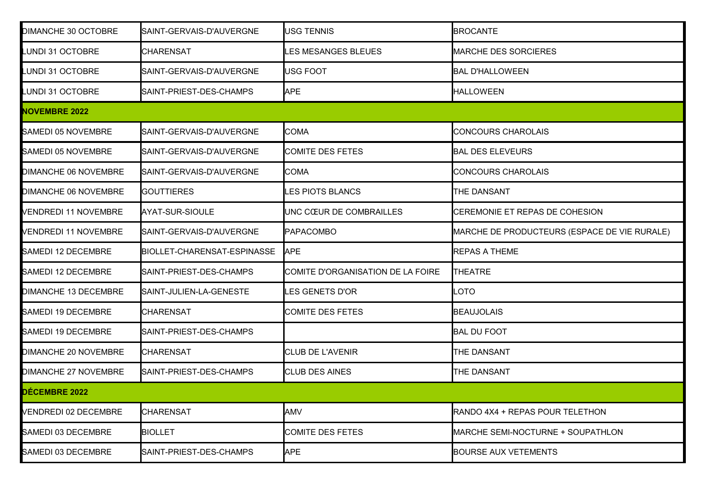| DIMANCHE 30 OCTOBRE         | SAINT-GERVAIS-D'AUVERGNE    | USG TENNIS                        | <b>BROCANTE</b>                              |
|-----------------------------|-----------------------------|-----------------------------------|----------------------------------------------|
| <b>LUNDI 31 OCTOBRE</b>     | <b>CHARENSAT</b>            | ES MESANGES BLEUES                | <b>MARCHE DES SORCIERES</b>                  |
| <b>LUNDI 31 OCTOBRE</b>     | SAINT-GERVAIS-D'AUVERGNE    | USG FOOT                          | <b>BAL D'HALLOWEEN</b>                       |
| <b>LUNDI 31 OCTOBRE</b>     | SAINT-PRIEST-DES-CHAMPS     | <b>APE</b>                        | <b>HALLOWEEN</b>                             |
| <b>NOVEMBRE 2022</b>        |                             |                                   |                                              |
| SAMEDI 05 NOVEMBRE          | SAINT-GERVAIS-D'AUVERGNE    | <b>COMA</b>                       | <b>CONCOURS CHAROLAIS</b>                    |
| SAMEDI 05 NOVEMBRE          | SAINT-GERVAIS-D'AUVERGNE    | <b>COMITE DES FETES</b>           | <b>BAL DES ELEVEURS</b>                      |
| DIMANCHE 06 NOVEMBRE        | SAINT-GERVAIS-D'AUVERGNE    | <b>COMA</b>                       | <b>CONCOURS CHAROLAIS</b>                    |
| DIMANCHE 06 NOVEMBRE        | <b>GOUTTIERES</b>           | <b>LES PIOTS BLANCS</b>           | <b>THE DANSANT</b>                           |
| <b>VENDREDI 11 NOVEMBRE</b> | AYAT-SUR-SIOULE             | UNC CŒUR DE COMBRAILLES           | CEREMONIE ET REPAS DE COHESION               |
| <b>VENDREDI 11 NOVEMBRE</b> | SAINT-GERVAIS-D'AUVERGNE    | <b>PAPACOMBO</b>                  | MARCHE DE PRODUCTEURS (ESPACE DE VIE RURALE) |
| SAMEDI 12 DECEMBRE          | BIOLLET-CHARENSAT-ESPINASSE | <b>APE</b>                        | <b>REPAS A THEME</b>                         |
| SAMEDI 12 DECEMBRE          | SAINT-PRIEST-DES-CHAMPS     | COMITE D'ORGANISATION DE LA FOIRE | <b>THEATRE</b>                               |
| DIMANCHE 13 DECEMBRE        | SAINT-JULIEN-LA-GENESTE     | <b>ES GENETS D'OR</b>             | OTO <sub>-</sub>                             |
| SAMEDI 19 DECEMBRE          | <b>CHARENSAT</b>            | COMITE DES FETES                  | <b>BEAUJOLAIS</b>                            |
| SAMEDI 19 DECEMBRE          | SAINT-PRIEST-DES-CHAMPS     |                                   | <b>BAL DU FOOT</b>                           |
| DIMANCHE 20 NOVEMBRE        | <b>CHARENSAT</b>            | <b>CLUB DE L'AVENIR</b>           | <b>THE DANSANT</b>                           |
| DIMANCHE 27 NOVEMBRE        | SAINT-PRIEST-DES-CHAMPS     | <b>CLUB DES AINES</b>             | <b>THE DANSANT</b>                           |
| DÉCEMBRE 2022               |                             |                                   |                                              |
| <b>VENDREDI 02 DECEMBRE</b> | <b>CHARENSAT</b>            | <b>AMV</b>                        | RANDO 4X4 + REPAS POUR TELETHON              |
| SAMEDI 03 DECEMBRE          | <b>BIOLLET</b>              | COMITE DES FETES                  | MARCHE SEMI-NOCTURNE + SOUPATHLON            |
| SAMEDI 03 DECEMBRE          | SAINT-PRIEST-DES-CHAMPS     | <b>APE</b>                        | <b>BOURSE AUX VETEMENTS</b>                  |